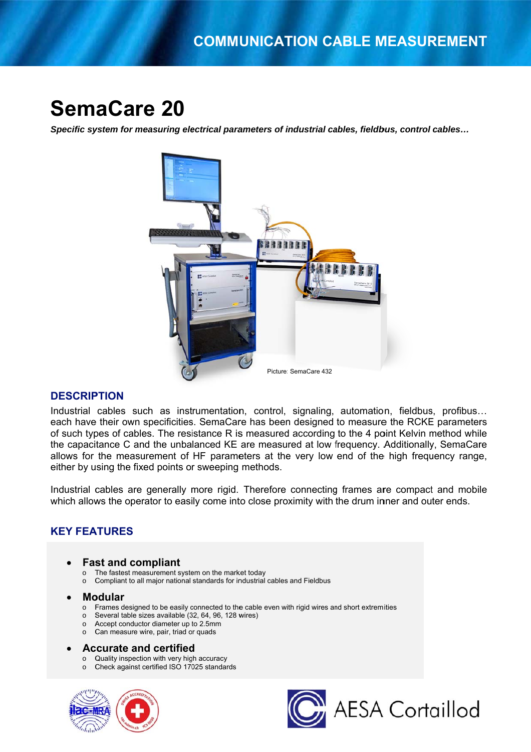# **SemaCare 20**

Specific system for measuring electrical parameters of industrial cables, fieldbus, control cables...



# **DESCRIPTION**

Industrial cables such as instrumentation, control, signaling, automation, fieldbus, profibus... each have their own specificities. SemaCare has been designed to measure the RCKE parameters of such types of cables. The resistance R is measured according to the 4 point Kelvin method while the capacitance C and the unbalanced KE are measured at low frequency. Additionally, SemaCare allows for the measurement of HF parameters at the very low end of the high frequency range. either by using the fixed points or sweeping methods.

Industrial cables are generally more rigid. Therefore connecting frames are compact and mobile which allows the operator to easily come into close proximity with the drum inner and outer ends.

# **KEY FEATURES**

# **Fast and compliant**

- o The fastest measurement system on the market today
- Compliant to all major national standards for industrial cables and Fieldbus  $\circ$

#### **Modular**  $\bullet$

- Frames designed to be easily connected to the cable even with rigid wires and short extremities  $\circ$
- Several table sizes available (32, 64, 96, 128 wires)  $\circ$
- Accept conductor diameter up to 2.5mm  $\circ$
- o Can measure wire, pair, triad or quads

# **Accurate and certified**

- o Quality inspection with very high accuracy
- o Check against certified ISO 17025 standards



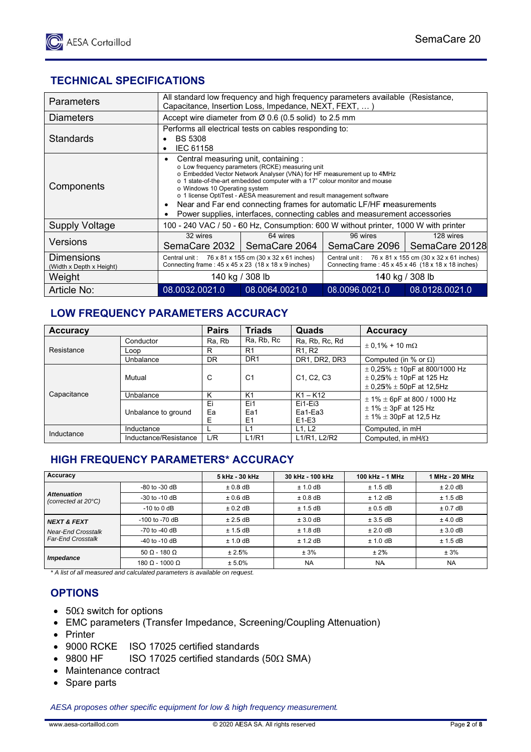# **TECHNICAL SPECIFICATIONS**

| Parameters                             | All standard low frequency and high frequency parameters available (Resistance,<br>Capacitance, Insertion Loss, Impedance, NEXT, FEXT, )                                                                                                                                                                                                                                                                                                                                                                                 |                           |                                                                                                                          |                             |  |
|----------------------------------------|--------------------------------------------------------------------------------------------------------------------------------------------------------------------------------------------------------------------------------------------------------------------------------------------------------------------------------------------------------------------------------------------------------------------------------------------------------------------------------------------------------------------------|---------------------------|--------------------------------------------------------------------------------------------------------------------------|-----------------------------|--|
| <b>Diameters</b>                       | Accept wire diameter from $\varnothing$ 0.6 (0.5 solid) to 2.5 mm                                                                                                                                                                                                                                                                                                                                                                                                                                                        |                           |                                                                                                                          |                             |  |
| Standards                              | Performs all electrical tests on cables responding to:<br><b>BS 5308</b><br>IEC 61158<br>٠                                                                                                                                                                                                                                                                                                                                                                                                                               |                           |                                                                                                                          |                             |  |
| Components                             | Central measuring unit, containing:<br>٠<br>o Low frequency parameters (RCKE) measuring unit<br>○ Embedded Vector Network Analyser (VNA) for HF measurement up to 4MHz<br>o 1 state-of-the-art embedded computer with a 17" colour monitor and mouse<br>o Windows 10 Operating system<br>o 1 license OptiTest - AESA measurement and result management software<br>Near and Far end connecting frames for automatic LF/HF measurements<br>٠<br>Power supplies, interfaces, connecting cables and measurement accessories |                           |                                                                                                                          |                             |  |
| <b>Supply Voltage</b>                  | 100 - 240 VAC / 50 - 60 Hz, Consumption: 600 W without printer, 1000 W with printer                                                                                                                                                                                                                                                                                                                                                                                                                                      |                           |                                                                                                                          |                             |  |
| Versions                               | 32 wires<br>SemaCare 2032 I                                                                                                                                                                                                                                                                                                                                                                                                                                                                                              | 64 wires<br>SemaCare 2064 | 96 wires<br>SemaCare 2096                                                                                                | 128 wires<br>SemaCare 20128 |  |
| Dimensions<br>(Width x Depth x Height) | Central unit: 76 x 81 x 155 cm (30 x 32 x 61 inches)<br>Connecting frame: $45 \times 45 \times 23$ (18 x 18 x 9 inches)                                                                                                                                                                                                                                                                                                                                                                                                  |                           | Central unit: 76 x 81 x 155 cm (30 x 32 x 61 inches)<br>Connecting frame: $45 \times 45 \times 46$ (18 x 18 x 18 inches) |                             |  |
| Weight                                 | 140 kg / 308 lb                                                                                                                                                                                                                                                                                                                                                                                                                                                                                                          |                           | 140 kg / 308 lb                                                                                                          |                             |  |
| Article No:                            | 08.0032.0021.0                                                                                                                                                                                                                                                                                                                                                                                                                                                                                                           | 08.0064.0021.0            | 08.0096.0021.0                                                                                                           | 08.0128.0021.0              |  |

# LOW FREQUENCY PARAMETERS ACCURACY

| <b>Accuracy</b> |                       | <b>Pairs</b>  | <b>Triads</b>                | Quads                                            | <b>Accuracy</b>                                                                                               |  |
|-----------------|-----------------------|---------------|------------------------------|--------------------------------------------------|---------------------------------------------------------------------------------------------------------------|--|
| Resistance      | Conductor             | Ra, Rb        | Ra, Rb, Rc                   | Ra, Rb, Rc, Rd                                   | $\pm$ 0.1% + 10 m $\Omega$                                                                                    |  |
|                 | Loop                  | R             | R <sub>1</sub>               | R <sub>1</sub> , R <sub>2</sub>                  |                                                                                                               |  |
|                 | Unbalance             | <b>DR</b>     | DR <sub>1</sub>              | DR1, DR2, DR3                                    | Computed (in % or $\Omega$ )                                                                                  |  |
| Capacitance     | Mutual                | C             | C <sub>1</sub>               | C <sub>1</sub> , C <sub>2</sub> , C <sub>3</sub> | $\pm$ 0.25% $\pm$ 10pF at 800/1000 Hz<br>$\pm$ 0.25% $\pm$ 10pF at 125 Hz<br>$\pm$ 0.25% $\pm$ 50pF at 12.5Hz |  |
|                 | Unbalance             | Κ             | K <sub>1</sub>               | $K1 - K12$                                       | $\pm$ 1% $\pm$ 6pF at 800 / 1000 Hz                                                                           |  |
|                 | Unbalance to ground   | Ei<br>Ea<br>E | Ei1<br>Ea1<br>E <sub>1</sub> | $Ei1-Ei3$<br>Ea1-Ea3<br>$E1-E3$                  | $\pm$ 1% $\pm$ 3pF at 125 Hz<br>$\pm$ 1% $\pm$ 30pF at 12,5 Hz                                                |  |
| Inductance      | Inductance            |               | L1                           | L1, L2                                           | Computed, in mH                                                                                               |  |
|                 | Inductance/Resistance | L/R           | L1/R1                        | L1/R1. L2/R2                                     | Computed. in $mH/\Omega$                                                                                      |  |

# **HIGH FREQUENCY PARAMETERS\* ACCURACY**

| Accuracy                                              |                          | 5 kHz - 30 kHz | 30 kHz - 100 kHz | 100 kHz - 1 MHz | 1 MHz - 20 MHz |
|-------------------------------------------------------|--------------------------|----------------|------------------|-----------------|----------------|
| <b>Attenuation</b><br>(corrected at 20°C)             | -80 to -30 dB            | $± 0.8$ dB     | $± 1.0$ dB       | $± 1.5$ dB      | $± 2.0$ dB     |
|                                                       | $-30$ to $-10$ dB        | $±0.6$ dB      | $± 0.8$ dB       | $± 1.2$ dB      | $± 1.5$ dB     |
|                                                       | $-10$ to $0$ dB          | $± 0.2$ dB     | $± 1.5$ dB       | $± 0.5$ dB      | $± 0.7$ dB     |
| <b>NEXT &amp; FEXT</b>                                | $-100$ to $-70$ dB       | ± 2.5 dB       | $± 3.0$ dB       | $± 3.5$ dB      | $±$ 4.0 dB     |
| <b>Near-End Crosstalk</b><br><b>Far-End Crosstalk</b> | $-70$ to $-40$ dB        | $± 1.5$ dB     | $± 1.8$ dB       | $± 2.0$ dB      | $± 3.0$ dB     |
|                                                       | $-40$ to $-10$ dB        | $± 1.0$ dB     | $± 1.2$ dB       | $± 1.0$ dB      | $± 1.5$ dB     |
| <i><b>Impedance</b></i>                               | $50 \Omega - 180 \Omega$ | ± 2.5%         | ± 3%             | $± 2\%$         | ± 3%           |
|                                                       | 180 Ω - 1000 Ω           | $± 5.0\%$      | <b>NA</b>        | <b>NA</b>       | <b>NA</b>      |

\* A list of all measured and calculated parameters is available on request.

# **OPTIONS**

- $50\Omega$  switch for options
- EMC parameters (Transfer Impedance, Screening/Coupling Attenuation)
- Printer
- 9000 RCKE ISO 17025 certified standards
- $\bullet$  9800 HF ISO 17025 certified standards (50 $\Omega$  SMA)
- Maintenance contract
- Spare parts

AESA proposes other specific equipment for low & high frequency measurement.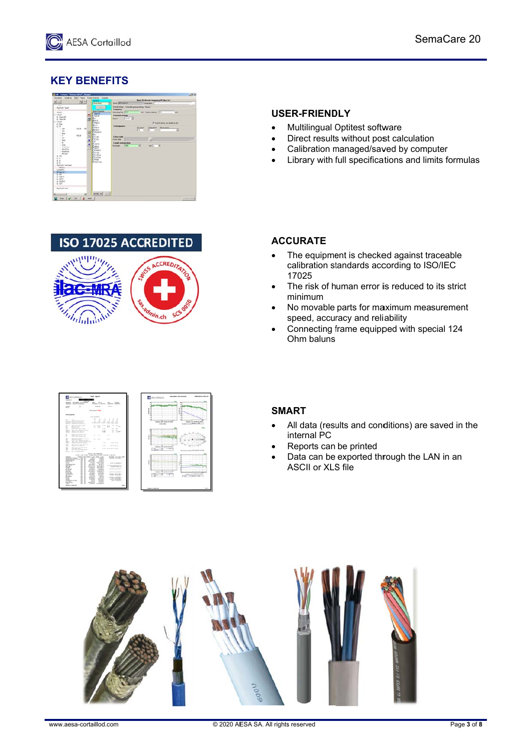# **KEY BENEFITS**



# **ISO 17025 ACCREDITED**



# **USER-FRIENDLY**

- Multilingual Optitest software  $\bullet$
- Direct results without post calculation
- Calibration managed/saved by computer
- Library with full specifications and limits formulas

# **ACCURATE**

- The equipment is checked against traceable  $\bullet$ calibration standards according to ISO/IEC 17025
- The risk of human error is reduced to its strict  $\bullet$ minimum
- No movable parts for maximum measurement speed, accuracy and reliability
- Connecting frame equipped with special 124 Ohm baluns



# **SMART**

- All data (results and conditions) are saved in the internal PC
- Reports can be printed
- Data can be exported through the LAN in an ASCII or XLS file

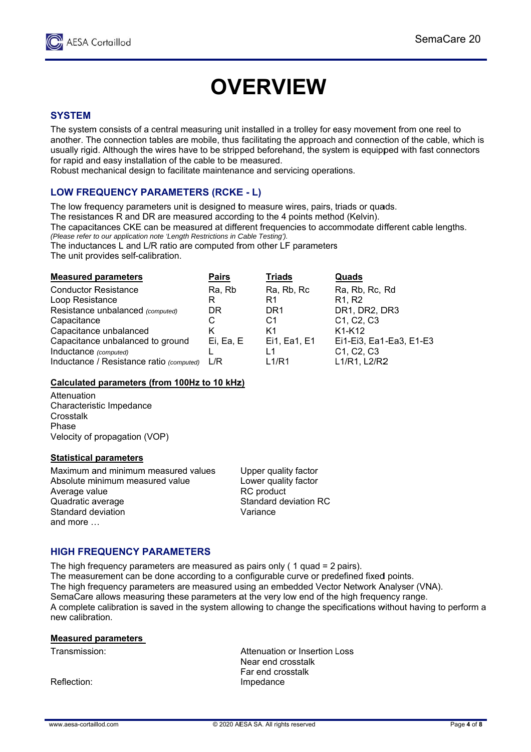

# **OVERVIEW**

# **SYSTEM**

The system consists of a central measuring unit installed in a trolley for easy movement from one reel to another. The connection tables are mobile, thus facilitating the approach and connection of the cable, which is usually rigid. Although the wires have to be stripped beforehand, the system is equipped with fast connectors for rapid and easy installation of the cable to be measured.

Robust mechanical design to facilitate maintenance and servicing operations.

# **LOW FREQUENCY PARAMETERS (RCKE - L)**

The low frequency parameters unit is designed to measure wires, pairs, triads or quads.

The resistances R and DR are measured according to the 4 points method (Kelvin).

The capacitances CKE can be measured at different frequencies to accommodate different cable lengths.

(Please refer to our application note 'Length Restrictions in Cable Testing').

The inductances L and L/R ratio are computed from other LF parameters

The unit provides self-calibration.

| <b>Measured parameters</b>               | <b>Pairs</b> | <b>Triads</b>   | Quads                                            |
|------------------------------------------|--------------|-----------------|--------------------------------------------------|
| <b>Conductor Resistance</b>              | Ra, Rb       | Ra, Rb, Rc      | Ra, Rb, Rc, Rd                                   |
| Loop Resistance                          | R            | R1              | R <sub>1</sub> , R <sub>2</sub>                  |
| Resistance unbalanced (computed)         | DR           | DR <sub>1</sub> | DR1, DR2, DR3                                    |
| Capacitance                              | С            | C1              | C1, C2, C3                                       |
| Capacitance unbalanced                   | Κ            | K1              | K1-K12                                           |
| Capacitance unbalanced to ground         | Ei, Ea, E    | Ei1, Ea1, E1    | Ei1-Ei3, Ea1-Ea3, E1-E3                          |
| Inductance (computed)                    |              |                 | C <sub>1</sub> , C <sub>2</sub> , C <sub>3</sub> |
| Inductance / Resistance ratio (computed) | L/R          | L1/R1           | L1/R1, L2/R2                                     |
|                                          |              |                 |                                                  |

# Calculated parameters (from 100Hz to 10 kHz)

Attenuation Characteristic Impedance Crosstalk Phase Velocity of propagation (VOP)

# **Statistical parameters**

Maximum and minimum measured values Absolute minimum measured value Average value Quadratic average Standard deviation and more ...

Upper quality factor Lower quality factor RC product **Standard deviation RC** Variance

# **HIGH FREQUENCY PARAMETERS**

The high frequency parameters are measured as pairs only ( $1$  quad =  $2$  pairs). The measurement can be done according to a configurable curve or predefined fixed points. The high frequency parameters are measured using an embedded Vector Network Analyser (VNA). SemaCare allows measuring these parameters at the very low end of the high frequency range. A complete calibration is saved in the system allowing to change the specifications without having to perform a new calibration.

### **Measured parameters**

Transmission:

Reflection:

Attenuation or Insertion Loss Near end crosstalk Far end crosstalk Impedance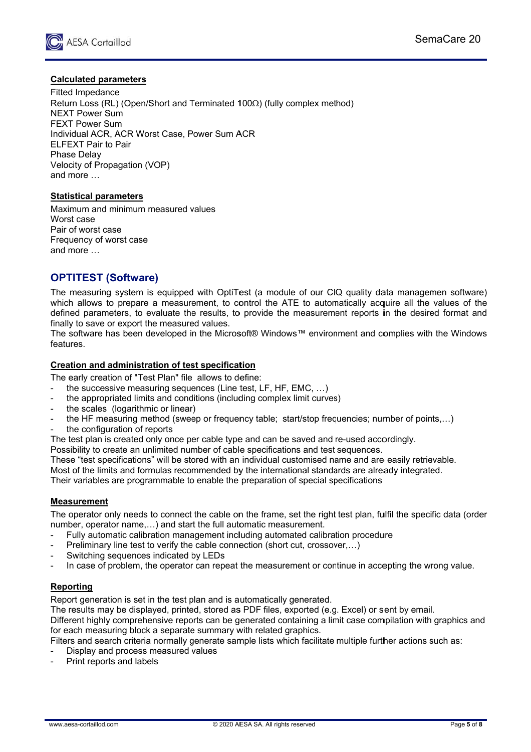

# **Calculated parameters**

**Fitted Impedance** Return Loss (RL) (Open/Short and Terminated  $100\Omega$ ) (fully complex method) NEXT Power Sum **FEXT Power Sum** Individual ACR, ACR Worst Case, Power Sum ACR **ELFEXT Pair to Pair Phase Delav** Velocity of Propagation (VOP) and more ...

# **Statistical parameters**

Maximum and minimum measured values Moret case Pair of worst case Frequency of worst case and more ...

# **OPTITEST (Software)**

The measuring system is equipped with OptiTest (a module of our CIQ quality data managemen software) which allows to prepare a measurement, to control the ATE to automatically acquire all the values of the defined parameters, to evaluate the results, to provide the measurement reports in the desired format and finally to save or export the measured values.

The software has been developed in the Microsoft® Windows™ environment and complies with the Windows features.

# Creation and administration of test specification

The early creation of "Test Plan" file allows to define:

- the successive measuring sequences (Line test, LF, HF, EMC, ...)
- $\overline{a}$ the appropriated limits and conditions (including complex limit curves)
- the scales (logarithmic or linear)
- the HF measuring method (sweep or frequency table; start/stop frequencies; number of points....)
- the configuration of reports

The test plan is created only once per cable type and can be saved and re-used accordingly.

Possibility to create an unlimited number of cable specifications and test sequences.

These "test specifications" will be stored with an individual customised name and are easily retrievable.

Most of the limits and formulas recommended by the international standards are already integrated.

Their variables are programmable to enable the preparation of special specifications

# **Measurement**

The operator only needs to connect the cable on the frame, set the right test plan, fulfil the specific data (order number, operator name....) and start the full automatic measurement.

- Fully automatic calibration management including automated calibration procedure
- Preliminary line test to verify the cable connection (short cut, crossover....)
- Switching sequences indicated by LEDs
- In case of problem, the operator can repeat the measurement or continue in accepting the wrong value.

# **Reporting**

Report generation is set in the test plan and is automatically generated.

The results may be displayed, printed, stored as PDF files, exported (e.g. Excel) or sent by email. Different highly comprehensive reports can be generated containing a limit case compilation with graphics and for each measuring block a separate summary with related graphics.

- Filters and search criteria normally generate sample lists which facilitate multiple further actions such as:
- Display and process measured values
- Print reports and labels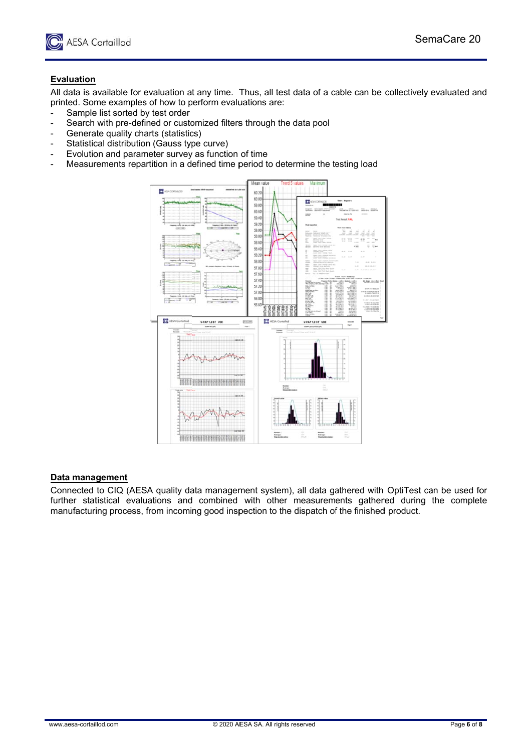

# **Evaluation**

All data is available for evaluation at any time. Thus, all test data of a cable can be collectively evaluated and<br>All data is available for evaluation at any time. Thus, all test data of a cable can be collectively evalua printed. Some examples of how to perform evaluations are:

- Sample list sorted by test order
- Search with pre-defined or customized filters through the data pool
- Generate quality charts (statistics)
- Statistical distribution (Gauss type curve)
- Evolution and parameter survey as function of time
- Measurements repartition in a defined time period to determine the testing load



### **Data mana gement**

Connected to CIQ (AESA quality data management system), all data gathered with OptiTest can be used for further statistical evaluations and combined with other measurements gathered during the complete manufacturing process, from incoming good inspection to the dispatch of the finished product.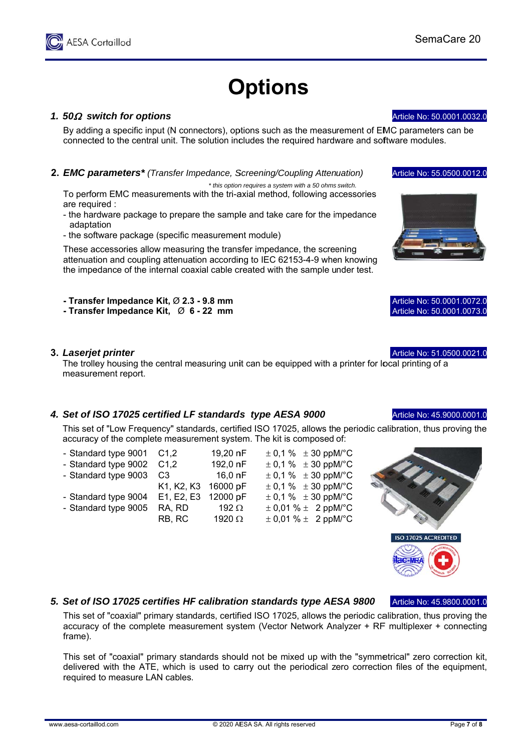# **Options**

# 1. 50 $\Omega$  switch for options

**AESA Cortaillod** 

By adding a specific input (N connectors), options such as the measurement of EMC parameters can be connected to the central unit. The solution includes the required hardware and software modules.

# 2. EMC parameters<sup>\*</sup> (Transfer Impedance, Screening/Coupling Attenuation)

\* this option requires a system with a 50 ohms switch. To perform EMC measurements with the tri-axial method, following accessories are required :

- the hardware package to prepare the sample and take care for the impedance adaptation
- the software package (specific measurement module)

These accessories allow measuring the transfer impedance, the screening attenuation and coupling attenuation according to IEC 62153-4-9 when knowing the impedance of the internal coaxial cable created with the sample under test.

- Transfer Impedance Kit, Ø 2.3 - 9.8 mm

- Transfer Impedance Kit. Ø 6 - 22 mm

### 3. Laserjet printer

The trolley housing the central measuring unit can be equipped with a printer for local printing of a measurement report.

# 4. Set of ISO 17025 certified LF standards type AESA 9000

This set of "Low Frequency" standards, certified ISO 17025, allows the periodic calibration, thus proving the accuracy of the complete measurement system. The kit is composed of:

- Standard type 9001  $C1.2$
- Standard type 9002  $C1.2$ - Standard type 9003  $C<sub>3</sub>$
- Standard type 9004
- Standard type 9005
- 16.0 nF K1, K2, K3 16000 pF E1, E2, E3 12000 pF RA. RD 192 $\Omega$ RB. RC 1920 $\, \Omega$

19,20 nF

192.0 nF

 $\pm$  0.1 %  $\pm$  30 ppM/°C  $\pm$  0,1 %  $\pm$  30 ppM/°C  $\pm$  0.1 %  $\pm$  30 ppM/°C  $\pm$  0.1 %  $\pm$  30 ppM/°C  $\pm$  0,1 %  $\pm$  30 ppM/°C  $\pm$  0.01 %  $\pm$  2 ppM/°C  $\pm$  0.01 %  $\pm$  2 ppM/°C

# 5. Set of ISO 17025 certifies HF calibration standards type AESA 9800

This set of "coaxial" primary standards, certified ISO 17025, allows the periodic calibration, thus proving the accuracy of the complete measurement system (Vector Network Analyzer  $+$  RF multiplexer  $+$  connecting frame).

This set of "coaxial" primary standards should not be mixed up with the "symmetrical" zero correction kit, delivered with the ATE, which is used to carry out the periodical zero correction files of the equipment, required to measure LAN cables.





Article No: 55.0500.0012.0

Article No: 50.0001.0032.0

|  | Article No: 50,0001,0072.0 |
|--|----------------------------|
|  | Article No: 50.0001.0073.0 |
|  |                            |

# Article No: 51.0500.0021.0

Article No: 45.9000.0001.0



Article No: 45.9800.0001.0